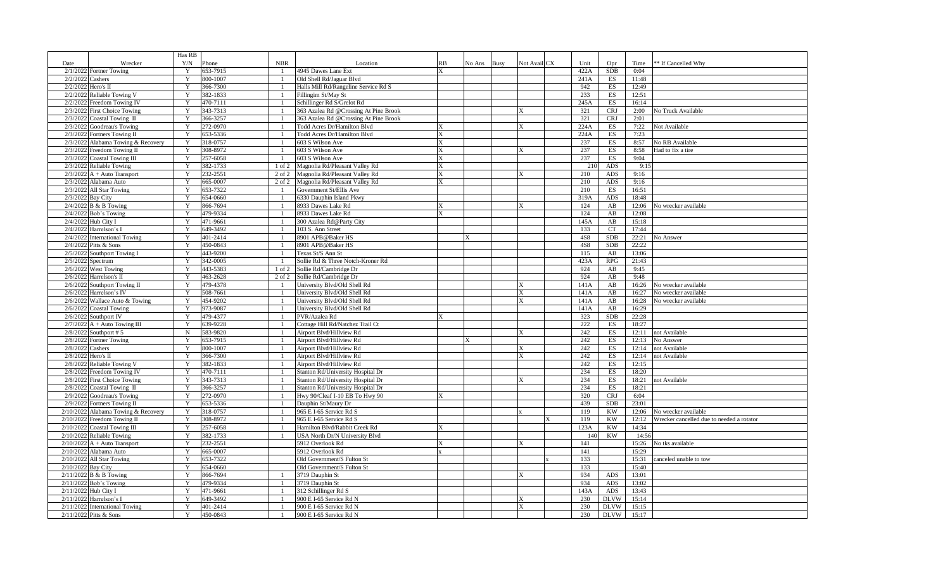|                    |                                                     | Has RB |                      |                |                                                    |    |        |      |                         |            |                          |                |                                           |
|--------------------|-----------------------------------------------------|--------|----------------------|----------------|----------------------------------------------------|----|--------|------|-------------------------|------------|--------------------------|----------------|-------------------------------------------|
| Date               | Wrecker                                             | Y/N    | Phone                | <b>NBR</b>     | Location                                           | RB | No Ans | Busy | Not Avail CX            | Unit       | Opr                      | Time           | ** If Cancelled Why                       |
|                    | 2/1/2022 Fortner Towing                             | Y      | 653-7915             |                | 4945 Dawes Lane Ext                                |    |        |      |                         | 422A       | <b>SDB</b>               | 0:04           |                                           |
| 2/2/2022           | Cashers                                             | Y      | 800-1007             |                | Old Shell Rd/Jaguar Blvd                           |    |        |      |                         | 241A       | ES                       | 11:48          |                                           |
|                    | 2/2/2022 Hero's II                                  | Y      | 366-7300             |                | Halls Mill Rd/Rangeline Service Rd S               |    |        |      |                         | 942        | ES                       | 12:49          |                                           |
|                    | 2/2/2022 Reliable Towing V                          |        | 382-1833             |                | Fillingim St/May St                                |    |        |      |                         | 233        | ES                       | 12:51          |                                           |
|                    | 2/2/2022 Freedom Towing IV                          |        | 470-7111             |                | Schillinger Rd S/Grelot Rd                         |    |        |      |                         | 245A       | ES                       | 16:14          |                                           |
|                    | 2/3/2022 First Choice Towing                        |        | 343-7313             |                | 363 Azalea Rd @Crossing At Pine Brook              |    |        |      |                         | 321        | <b>CRJ</b>               | 2:00           | No Truck Available                        |
| 2/3/2022           | Coastal Towing II                                   | Y      | 366-3257             |                | 363 Azalea Rd @Crossing At Pine Brook              |    |        |      |                         | 321        | <b>CRJ</b>               | 2:01           |                                           |
|                    | 2/3/2022 Goodreau's Towing                          |        | 272-0970             |                | Todd Acres Dr/Hamilton Blvd                        |    |        |      | ΙX                      | 224A       | ES                       | 7:22           | Not Available                             |
|                    | 2/3/2022 Fortners Towing II                         | Y      | 653-5336             |                | Todd Acres Dr/Hamilton Blvd                        |    |        |      |                         | 224A       | $\mathop{\hbox{\rm ES}}$ | 7:23           |                                           |
|                    | 2/3/2022 Alabama Towing & Recovery                  | Y      | 318-0757             |                | 603 S Wilson Ave                                   |    |        |      |                         | 237        | ES                       | 8:57           | No RB Available                           |
|                    | 2/3/2022 Freedom Towing II                          | Y      | 308-8972             |                | 603 S Wilson Ave                                   |    |        |      |                         | 237        | $_{\rm ES}$              | 8:58           | Had to fix a tire                         |
|                    | 2/3/2022 Coastal Towing III                         | Y      | 257-6058             |                | 603 S Wilson Ave                                   |    |        |      |                         | 237        | $_{\rm ES}$              | 9:04           |                                           |
| 2/3/2022           | <b>Reliable Towing</b>                              | Y      | 382-1733             | $1$ of $2$     | Magnolia Rd/Pleasant Valley Rd                     |    |        |      |                         | 21(        | ADS                      | 9:15           |                                           |
|                    | $2/3/2022$ A + Auto Transport                       | Y      | 232-2551             | 2 of 2         | Magnolia Rd/Pleasant Valley Rd                     |    |        |      | X                       | 210        | ADS                      | 9:16           |                                           |
|                    | 2/3/2022 Alabama Auto                               | Y      | 665-0007             | 2 of 2         | Magnolia Rd/Pleasant Valley Rd                     |    |        |      |                         | 210        | <b>ADS</b>               | 9:16           |                                           |
|                    | 2/3/2022 All Star Towing                            | Y      | 653-7322             |                | Government St/Ellis Ave                            |    |        |      |                         | 210        | $_{\rm ES}$              | 16:51          |                                           |
|                    | 2/3/2022 Bay City                                   |        | 654-0660             |                | 6330 Dauphin Island Pkwy                           |    |        |      |                         | 319A       | ADS                      | 18:48          |                                           |
|                    | $2/4/2022$ B & B Towing                             | Y      | 866-7694             |                | 8933 Dawes Lake Rd                                 | X  |        |      | X                       | 124        | AB                       | 12:06          | No wrecker available                      |
|                    | $2/4/2022$ Bob's Towing                             | Y      | 479-9334             |                | 8933 Dawes Lake Rd                                 |    |        |      |                         | 124        | AB                       | 12:08          |                                           |
|                    | 2/4/2022 Hub City I                                 |        | 471-9661             |                | 300 Azalea Rd@Party City                           |    |        |      |                         | 145A       | AB                       | 15:18          |                                           |
|                    | 2/4/2022 Harrelson's I                              | Y      | 649-3492             |                | 103 S. Ann Street                                  |    |        |      |                         | 133        | <b>CT</b>                | 17:44          |                                           |
|                    | 2/4/2022 International Towing                       | Y      | 401-2414             |                | 8901 APB@Baker HS                                  |    |        |      |                         | <b>4S8</b> | <b>SDB</b>               | 22:21          | No Answer                                 |
|                    | 2/4/2022 Pitts & Sons                               |        | 450-0843             |                | 8901 APB@Baker HS                                  |    |        |      |                         | 4S8        | <b>SDB</b>               | 22:22          |                                           |
|                    | 2/5/2022 Southport Towing I                         | Y      | 443-9200             |                | Texas St/S Ann St                                  |    |        |      |                         | 115        | AB                       | 13:06          |                                           |
|                    | 2/5/2022 Spectrum                                   | Y      | 342-0005             | -1             | Sollie Rd & Three Notch-Kroner Rd                  |    |        |      |                         | 423A       | RPG                      | 21:43          |                                           |
|                    | $2/6/2022$ West Towing                              | Y      | 443-5383             | 1 of 2         | Sollie Rd/Cambridge Dr                             |    |        |      |                         | 924        | AB                       | 9:45           |                                           |
|                    | $2/6/2022$ Harrelson's II                           | Y      | 463-2628             | 2 of 2         | Sollie Rd/Cambridge Dr                             |    |        |      |                         | 924        | AB                       | 9:48           |                                           |
|                    | 2/6/2022 Southport Towing II                        | Y      | 479-4378             |                | University Blvd/Old Shell Rd                       |    |        |      |                         | 141A       | AB                       | 16:26          | No wrecker available                      |
|                    | 2/6/2022 Harrelson's IV                             | Y      | 508-7661             | $\overline{1}$ | University Blvd/Old Shell Rd                       |    |        |      | $\mathbf x$             | 141A       | AB                       | 16:27          | No wrecker available                      |
|                    | 2/6/2022 Wallace Auto & Towing                      |        | 454-9202             |                | University Blvd/Old Shell Rd                       |    |        |      |                         | 141A       | AB                       | 16:28          | No wrecker available                      |
|                    | 2/6/2022 Coastal Towing                             | Y      | 973-9087             |                | University Blvd/Old Shell Rd                       |    |        |      |                         | 141A       | $\mathbf{A}\mathbf{B}$   | 16:29          |                                           |
|                    | 2/6/2022 Southport IV                               |        | 479-4377             |                | PVR/Azalea Rd                                      |    |        |      |                         | 323        | <b>SDB</b>               | 22:28          |                                           |
|                    | $2/7/2022$ A + Auto Towing III                      | Y      | 639-9228             |                | Cottage Hill Rd/Natchez Trail Ct                   |    |        |      |                         | 222        | ES                       | 18:27          |                                           |
|                    | 2/8/2022 Southport # 5                              | N      | 583-9820             |                | Airport Blvd/Hillview Rd                           |    |        |      | $\mathbf{x}$            | 242        | ES                       | 12:11          | not Available                             |
|                    | 2/8/2022 Fortner Towing                             | Y      | 653-7915             |                | Airport Blvd/Hillview Rd                           |    |        |      |                         | 242        | ES                       | 12:13          | No Answer                                 |
|                    | 2/8/2022 Cashers                                    | Y      | 800-1007             |                | Airport Blvd/Hillview Rd                           |    |        |      | X                       | 242        | ES                       | 12:14          | not Available                             |
|                    | 2/8/2022 Hero's II                                  | Y      | 366-7300             |                | Airport Blvd/Hillview Rd                           |    |        |      |                         | 242        | ES                       | 12:14          | not Available                             |
|                    | 2/8/2022 Reliable Towing V                          | Y      | 382-1833             |                | Airport Blvd/Hillview Rd                           |    |        |      |                         | 242        | ES                       | 12:15          |                                           |
|                    | 2/8/2022 Freedom Towing IV                          |        | 470-7111             |                | Stanton Rd/University Hospital Dr                  |    |        |      |                         | 234        | ES                       | 18:20          |                                           |
|                    | 2/8/2022 First Choice Towing                        | Y      | 343-7313             |                | Stanton Rd/University Hospital Dr                  |    |        |      | X                       | 234        | $_{\rm ES}$              | 18:21          | not Available                             |
|                    | 2/8/2022 Coastal Towing II                          | Y      | 366-3257             |                | Stanton Rd/University Hospital Dr                  |    |        |      |                         | 234        | ES                       | 18:21          |                                           |
|                    | 2/9/2022 Goodreau's Towing                          | Y      | 272-0970             |                | Hwy 90/Cleaf I-10 EB To Hwy 90                     |    |        |      |                         | 320        | <b>CRJ</b>               | 6:04           |                                           |
|                    | 2/9/2022 Fortners Towing II                         | Y      | 653-5336             |                | Dauphin St/Maury Dr                                |    |        |      |                         | 439        | <b>SDB</b>               | 23:01          |                                           |
|                    | 2/10/2022 Alabama Towing & Recovery                 | Y      | 318-0757             |                | 965 E I-65 Service Rd S                            |    |        |      |                         | 119        | <b>KW</b>                | 12:06          | No wrecker available                      |
|                    | 2/10/2022 Freedom Towing II                         |        | 308-8972             |                | 965 E I-65 Service Rd S                            |    |        |      |                         | 119        | <b>KW</b>                | 12:12          | Wrecker cancelled due to needed a rotator |
|                    | 2/10/2022 Coastal Towing III                        | Y      | 257-6058             |                | Hamilton Blvd/Rabbit Creek Rd                      |    |        |      |                         | 123A       | <b>KW</b>                | 14:34          |                                           |
|                    | 2/10/2022 Reliable Towing                           |        | 382-1733             |                | USA North Dr/N University Blvd                     |    |        |      |                         | 14(        | <b>KW</b>                | 14:56          |                                           |
|                    |                                                     | Y      | 232-2551             |                | 5912 Overlook Rd                                   |    |        |      | $\overline{\mathbf{x}}$ | 141        |                          | 15:26          | No tks available                          |
|                    | $2/10/2022$ A + Auto Transport                      |        |                      |                | 5912 Overlook Rd                                   |    |        |      |                         | 141        |                          | 15:29          |                                           |
|                    | 2/10/2022 Alabama Auto<br>2/10/2022 All Star Towing |        | 665-0007<br>653-7322 |                | Old Government/S Fulton St                         |    |        |      |                         | 133        |                          | 15:31          | anceled unable to tow                     |
| 2/10/2022 Bay City |                                                     | Y      | 654-0660             |                | Old Government/S Fulton St                         |    |        |      |                         | 133        |                          | 15:40          |                                           |
|                    | $2/11/2022$ B & B Towing                            | Y      | 866-7694             |                | 3719 Dauphin St                                    |    |        |      |                         | 934        | ADS                      | 13:01          |                                           |
|                    |                                                     | Y      |                      |                | 3719 Dauphin St                                    |    |        |      |                         | 934        |                          |                |                                           |
|                    | 2/11/2022 Bob's Towing                              | Y      | 479-9334             |                |                                                    |    |        |      |                         | 143A       | ADS                      | 13:02<br>13:43 |                                           |
|                    | 2/11/2022 Hub City I                                |        | 471-9661             |                | 312 Schillinger Rd S                               |    |        |      |                         | 230        | ADS                      |                |                                           |
|                    | 2/11/2022 Harrelson's I                             | Y      | 649-3492             |                | 900 E I-65 Service Rd N<br>900 E I-65 Service Rd N |    |        |      | X                       | 230        | <b>DLVW</b>              | 15:14          |                                           |
|                    | 2/11/2022 International Towing                      | Y      | 401-2414             | $\mathbf{1}$   |                                                    |    |        |      |                         | 230        | <b>DLVW</b>              | 15:15          |                                           |
|                    | 2/11/2022 Pitts & Sons                              |        | 450-0843             |                | 900 E I-65 Service Rd N                            |    |        |      |                         |            | <b>DLVW</b>              | 15:17          |                                           |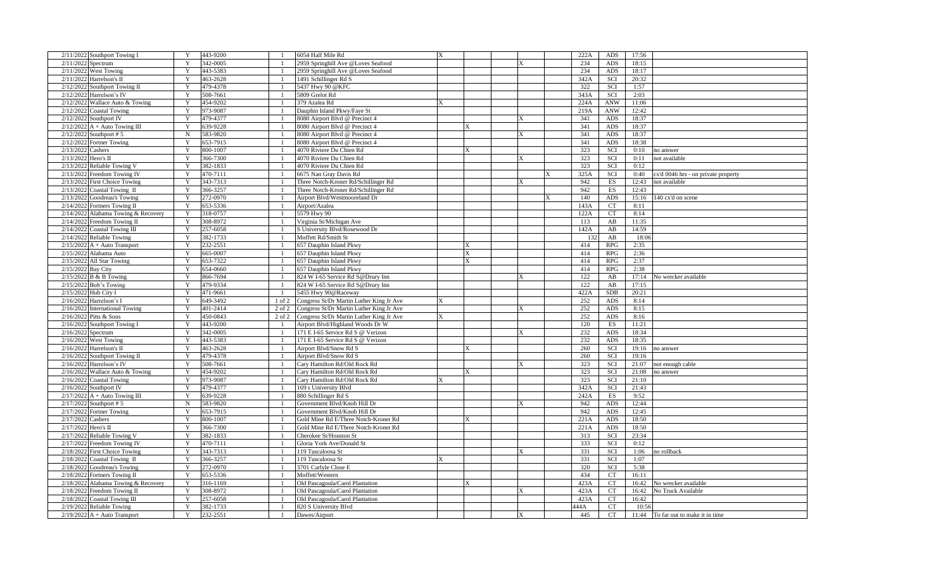| 2/11/2022 Southport Towing I        | Y      | 443-9200             |                | 6054 Half Mile Rd                        |             |              |      | 222A            | ADS              | 17:56                                       |
|-------------------------------------|--------|----------------------|----------------|------------------------------------------|-------------|--------------|------|-----------------|------------------|---------------------------------------------|
| 2/11/2022 Spectrum                  |        | 342-0005             |                | 2959 Springhill Ave @Loves Seafood       |             |              |      | 234             | <b>ADS</b>       | 18:15                                       |
| 2/11/2022 West Towing               | Y      | 443-5383             |                | 2959 Springhill Ave @Loves Seafood       |             |              |      | 234             | ADS              | 18:17                                       |
| $2/11/2022$ Harrelson's II          | Y      | 463-2628             |                | 1491 Schillinger Rd S                    |             |              |      | 342A            | SCI              | 20:32                                       |
| 2/12/2022 Southport Towing II       |        | 479-4378             |                | 5437 Hwy 90 @KFC                         |             |              |      | 322             | <b>SCI</b>       | 1:57                                        |
| 2/12/2022 Harrelson's IV            | Y      | 508-7661             |                | 5809 Grelot Rd                           |             |              |      | 343A            | SCI              | 2:03                                        |
| 2/12/2022 Wallace Auto & Towing     |        | 454-9202             |                | 379 Azalea Rd                            |             |              |      | 224A            | <b>ANW</b>       | 11:06                                       |
| 2/12/2022 Coastal Towing            | Y      | 973-9087             |                | Dauphin Island Pkwy/Faye St              |             |              |      | 219A            | <b>ANW</b>       | 12:42                                       |
| 2/12/2022 Southport IV              | Y      | 479-4377             |                | 8080 Airport Blvd @ Precinct 4           |             | X            |      | 341             | ADS              | 18:37                                       |
| $2/12/2022$ A + Auto Towing III     | Y      | 639-9228             |                | 8080 Airport Blvd @ Precinct 4           | X.          |              |      | 341             | <b>ADS</b>       | 18:37                                       |
| $2/12/2022$ Southport #5            | N      | 583-9820             |                | 8080 Airport Blvd @ Precinct 4           |             | $\mathbf{x}$ |      | 341             | ADS              | 18:37                                       |
| 2/12/2022 Fortner Towing            | Y      | 653-7915             |                | 8080 Airport Blvd @ Precinct 4           |             |              |      | 341             | ADS              | 18:38                                       |
| 2/13/2022 Cashers                   | Y      | 800-1007             |                | 4070 Riviere Du Chien Rd                 |             |              |      | 323             | SCI              | 0:10<br>no answer                           |
| 2/13/2022 Hero's II                 | Y      | 366-7300             |                | 4070 Riviere Du Chien Rd                 |             | $\mathbf x$  |      | 323             | SCI              | 0:11<br>not available                       |
|                                     | Y      |                      |                |                                          |             |              |      | 323             |                  | 0:12                                        |
| 2/13/2022 Reliable Towing V         |        | 382-1833             |                | 4070 Riviere Du Chien Rd                 |             |              |      |                 | SCI              |                                             |
| 2/13/2022 Freedom Towing IV         | Y      | 470-7111             |                | 6675 Nan Gray Davis Rd                   |             |              |      | 325A            | SCI              | 0:40<br>cx'd 0046 hrs - on private property |
| 2/13/2022 First Choice Towing       | Y      | 343-7313             |                | Three Notch-Kroner Rd/Schillinger Rd     |             |              |      | 942             | ES               | 12:43<br>not available                      |
| $2/13/2022$ Coastal Towing II       | Y      | 366-3257             |                | Three Notch-Kroner Rd/Schillinger Rd     |             |              |      | 942             | ES               | 12:43                                       |
| 2/13/2022 Goodreau's Towing         |        | 272-0970             |                | Airport Blvd/Westmooreland Dr            |             |              |      | 140             | <b>ADS</b>       | 15:16<br>140 cx'd on scene                  |
| 2/14/2022 Fortners Towing II        |        | 653-5336             |                | Airport/Azalea                           |             |              |      | 143A            | <b>CT</b>        | 8:11                                        |
| 2/14/2022 Alabama Towing & Recovery | Y      | 318-0757             |                | 5579 Hwy 90                              |             |              |      | 122A            | <b>CT</b>        | 8:14                                        |
| 2/14/2022 Freedom Towing II         | Y      | 308-8972             |                | Virginia St/Michigan Ave                 |             |              |      | 113             | AB               | 11:35                                       |
| 2/14/2022 Coastal Towing III        | Y      | 257-6058             |                | S University Blvd/Rosewood Dr            |             |              |      | 142A            | AB               | 14:59                                       |
| 2/14/2022 Reliable Towing           | Y      | 382-1733             |                | Moffett Rd/Smith St                      |             |              |      | 13 <sup>′</sup> | AB               | 18:06                                       |
| $2/15/2022$ A + Auto Transport      | Y      | 232-2551             |                | 657 Dauphin Island Pkwy                  | X           |              |      | 414             | RPG              | 2:35                                        |
| 2/15/2022 Alabama Auto              |        | 665-0007             |                | 657 Dauphin Island Pkwy                  | $\mathbf x$ |              |      | 414             | <b>RPG</b>       | 2:36                                        |
| 2/15/2022 All Star Towing           | Y      | 653-7322             |                | 657 Dauphin Island Pkwy                  | X           |              |      | 414             | <b>RPG</b>       | 2:37                                        |
| 2/15/2022 Bay City                  | Y      | 654-0660             |                | 657 Dauphin Island Pkwy                  |             |              |      | 414             | <b>RPG</b>       | 2:38                                        |
| 2/15/2022 B & B Towing              | Y      | 866-7694             |                | 824 W I-65 Service Rd S@Drury Inn        |             |              |      | 122             | AB               | 17:14<br>No wrecker available               |
| 2/15/2022 Bob's Towing              | Y      | 479-9334             |                | 824 W I-65 Service Rd S@Drury Inn        |             |              |      | 122             | AB               | 17:15                                       |
| 2/15/2022 Hub City I                | Y      | 471-9661             | $\overline{1}$ | 5455 Hwy 90@Raceway                      |             |              |      | 422A            | <b>SDB</b>       | 20:21                                       |
| 2/16/2022 Harrelson's I             | Y      | 649-3492             | $1$ of $2$     | Congress St/Dr Martin Luther King Jr Ave |             |              |      | 252             | ADS              | 8:14                                        |
| 2/16/2022 International Towing      | Y      | 401-2414             | 2 of 2         | Congress St/Dr Martin Luther King Jr Ave |             | $\mathbf{x}$ |      | 252             | ADS              | 8:15                                        |
| 2/16/2022 Pitts & Sons              |        | 450-0843             | $2$ of $2$     | Congress St/Dr Martin Luther King Jr Ave |             |              |      | 252             | <b>ADS</b>       | 8:16                                        |
| 2/16/2022 Southport Towing I        | Y      | 443-9200             |                | Airport Blvd/Highland Woods Dr W         |             |              |      | 120             | ES               | 11:21                                       |
| $2/16/2022$ Spectrum                |        | 342-0005             |                | 171 E I-65 Service Rd S @ Verizon        |             |              |      | 232             | ADS              | 18:34                                       |
| 2/16/2022 West Towing               |        | 443-5383             |                | 171 E I-65 Service Rd S @ Verizon        |             |              |      | 232             | ADS              | 18:35                                       |
| $2/16/2022$ Harrelson's II          | Y      | 463-2628             |                | Airport Blvd/Snow Rd S                   |             |              |      | 260             | SCI              | 19:16<br>no answer                          |
| 2/16/2022 Southport Towing II       | Y      | 479-4378             |                | Airport Blvd/Snow Rd S                   |             |              |      | 260             | SCI              | 19:16                                       |
| 2/16/2022 Harrelson's IV            | Y      | 508-7661             |                | Cary Hamilton Rd/Old Rock Rd             |             |              |      | 323             | SCI              | 21:07<br>not enough cable                   |
| $2/16/2022$ Wallace Auto & Towing   |        | 454-9202             |                | Cary Hamilton Rd/Old Rock Rd             | X           |              |      | 323             | SCI              | 21:08<br>no answer                          |
| 2/16/2022 Coastal Towing            | Y      | 973-9087             |                | Cary Hamilton Rd/Old Rock Rd             |             |              |      | 323             | SCI              | 21:10                                       |
| 2/16/2022 Southport IV              |        | 479-4377             |                | 169 s University Blvd                    |             |              |      | 342A            | SCI              | 21:43                                       |
| $2/17/2022$ A + Auto Towing III     | Y      | 639-9228             |                | 880 Schillinger Rd S                     |             |              |      | 242A            | ES               | 9:52                                        |
| $2/17/2022$ Southport #5            | N      | 583-9820             |                | Government Blvd/Knob Hill Dr             |             |              |      | 942             | ADS              | 12:44                                       |
| 2/17/2022 Fortner Towing            | Y      | 653-7915             |                | Government Blvd/Knob Hill Dr             |             |              |      | 942             | ADS              | 12:45                                       |
| 2/17/2022 Cashers                   | Y      | 800-1007             |                | Gold Mine Rd E/Three Notch-Kroner Rd     | X           |              |      | 221A            | ADS              | 18:50                                       |
| 2/17/2022 Hero's II                 | Y      | 366-7300             |                | Gold Mine Rd E/Three Notch-Kroner Rd     |             |              |      | 221A            | ADS              | 18:50                                       |
| 2/17/2022 Reliable Towing V         | Y      | 382-1833             |                | Cherokee St/Houston St                   |             |              |      | 313             | SCI              | 23:34                                       |
| 2/17/2022 Freedom Towing IV         | Y      | 470-7111             |                | Gloria York Ave/Donald St                |             |              |      | 333             | SCI              | 0:12                                        |
| 2/18/2022 First Choice Towing       |        | 343-7313             |                | 119 Tuscaloosa St                        |             |              |      | 331             | SCI              | 1:06<br>no rollback                         |
|                                     |        | 366-3257             |                |                                          |             |              |      | 331             | SCI              | 1:07                                        |
| 2/18/2022 Coastal Towing II         |        |                      |                | 119 Tuscaloosa St                        |             |              |      | 320             |                  |                                             |
| 2/18/2022 Goodreau's Towing         | Y<br>Y | 272-0970<br>653-5336 |                | 3701 Carlyle Close E                     |             |              |      | 434             | SCI<br><b>CT</b> | 5:38<br>16:11                               |
| 2/18/2022 Fortners Towing II        |        |                      |                | Moffett/Western                          |             |              |      |                 |                  |                                             |
| 2/18/2022 Alabama Towing & Recovery | Y<br>Y | 316-1169             |                | Old Pascagoula/Carol Plantation          | X           |              |      | 423A            | CT               | 16:42<br>No wrecker available               |
| 2/18/2022 Freedom Towing II         |        | 308-8972             |                | Old Pascagoula/Carol Plantation          |             |              |      | 423A            | CT               | No Truck Available<br>16:42                 |
| 2/18/2022 Coastal Towing III        | Y      | 257-6058             |                | Old Pascagoula/Carol Plantation          |             |              |      | 423A            | CT               | 16:42                                       |
| 2/19/2022 Reliable Towing           | Y      | 382-1733             |                | 820 S University Blvd                    |             |              | 444A |                 | <b>CT</b>        | 10:56                                       |
| $2/19/2022$ A + Auto Transport      | Y      | 232-2551             | $\overline{1}$ | Dawes/Airport                            |             | ΙX           |      | 445             | <b>CT</b>        | 11:44 To far out to make it in time         |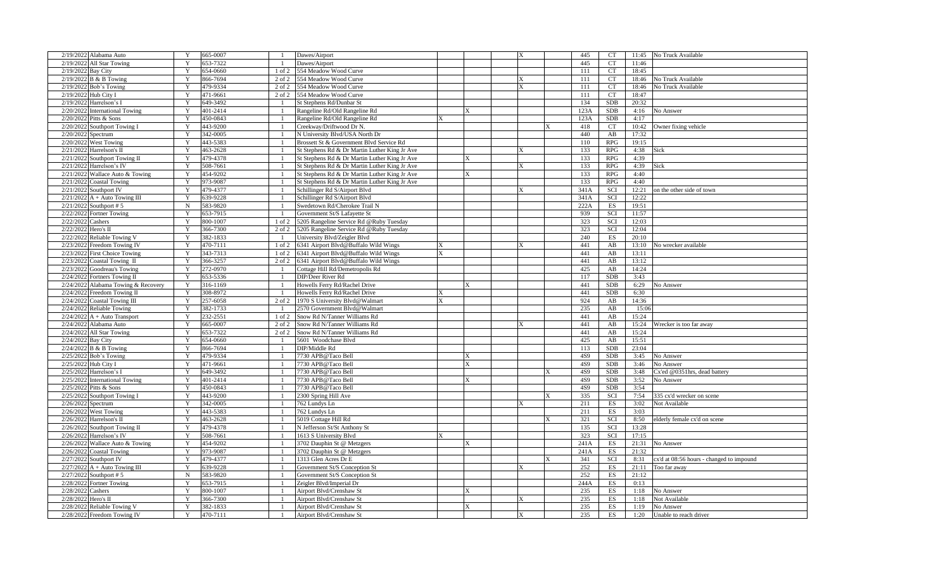| 2/19/2022 Alabama Auto                   | Y           | 665-0007 | $\mathbf{1}$   | Dawes/Airport                                 |              |   | 445  | <b>CT</b>                | 11:45 | No Truck Available                       |
|------------------------------------------|-------------|----------|----------------|-----------------------------------------------|--------------|---|------|--------------------------|-------|------------------------------------------|
| 2/19/2022<br>All Star Towing             | Y           | 653-7322 |                | Dawes/Airport                                 |              |   | 445  | <b>CT</b>                | 11:46 |                                          |
| 2/19/202<br><b>Bay City</b>              | Y           | 654-0660 | 1 of 2         | 554 Meadow Wood Curve                         |              |   | 111  | <b>CT</b>                | 18:45 |                                          |
| 2/19/2022<br>B & B Towing                | Y           | 866-7694 | 2 of 2         | 554 Meadow Wood Curve                         |              | X | 111  | <b>CT</b>                | 18:46 | No Truck Available                       |
| Bob's Towing<br>2/19/2022                | Y           | 479-9334 | 2 of 2         | 554 Meadow Wood Curve                         |              |   | 111  | <b>CT</b>                | 18:46 | No Truck Available                       |
| 2/19/2022<br>Hub City I                  | Y           | 471-9661 | 2 of 2         | 554 Meadow Wood Curve                         |              |   | 111  | <b>CT</b>                | 18:47 |                                          |
| 2/19/2022<br>Harrelson's I               | Y           | 649-3492 | $\mathbf{1}$   | St Stephens Rd/Dunbar St                      |              |   | 134  | <b>SDB</b>               | 20:32 |                                          |
| 2/20/2022<br><b>International Towing</b> | Y           | 401-2414 | -1             | Rangeline Rd/Old Rangeline Rd                 |              |   | 123A | SDB                      | 4:16  | No Answer                                |
| 2/20/2022<br>Pitts & Sons                | Y           | 450-0843 |                | Rangeline Rd/Old Rangeline Rd                 |              |   | 123A | <b>SDB</b>               | 4:17  |                                          |
| 2/20/2022<br><b>Southport Towing I</b>   | Y           | 443-9200 | $\mathbf{1}$   | Creekway/Driftwood Dr N                       |              |   | 418  | <b>CT</b>                | 10:42 | Owner fixing vehicle                     |
| 2/20/2022<br>Spectrum                    | Y           | 342-0005 | $\mathbf{1}$   | N University Blvd/USA North Dr                |              |   | 440  | AB                       | 17:32 |                                          |
| 2/20/2022 West Towing                    | Y           | 443-5383 | $\overline{1}$ | Brossett St & Government Blvd Service Rd      |              |   | 110  | RPG                      | 19:15 |                                          |
| 2/21/2022<br>Harrelson's II              | Y           | 463-2628 | $\mathbf{1}$   |                                               |              | X | 133  | RPG                      | 4:38  | Sick                                     |
|                                          | Y           |          | $\mathbf{1}$   | St Stephens Rd & Dr Martin Luther King Jr Ave |              |   | 133  | RPG                      | 4:39  |                                          |
| 2/21/2022<br>Southport Towing II         | Y           | 479-4378 |                | St Stephens Rd & Dr Martin Luther King Jr Ave |              |   |      |                          |       |                                          |
| 2/21/2022 Harrelson's IV                 |             | 508-7661 | $\mathbf{1}$   | St Stephens Rd & Dr Martin Luther King Jr Ave |              | X | 133  | <b>RPG</b>               | 4:39  | Sick                                     |
| 2/21/2022<br>Wallace Auto & Towing       | Y           | 454-9202 | $\mathbf{1}$   | St Stephens Rd & Dr Martin Luther King Jr Ave | X            |   | 133  | <b>RPG</b>               | 4:40  |                                          |
| 2/21/2022<br>Coastal Towing              | Y           | 973-9087 |                | St Stephens Rd & Dr Martin Luther King Jr Ave |              |   | 133  | <b>RPG</b>               | 4:40  |                                          |
| 2/21/2022<br>Southport IV                | Y           | 479-4377 | $\mathbf{1}$   | Schillinger Rd S/Airport Blvd                 |              |   | 341A | SCI                      | 12:21 | on the other side of town                |
| 2/21/2022<br>A + Auto Towing III         | Y           | 639-9228 | $\mathbf{1}$   | Schillinger Rd S/Airport Blvd                 |              |   | 341A | SCI                      | 12:22 |                                          |
| 2/21/2022<br>Southport #5                | $\mathbf N$ | 583-9820 | $\mathbf{1}$   | Swedetown Rd/Cherokee Trail N                 |              |   | 222A | $\mathop{\hbox{\rm ES}}$ | 19:51 |                                          |
| 2/22/2022<br>Fortner Towing              | Y           | 653-7915 | $\mathbf{1}$   | Government St/S Lafayette St                  |              |   | 939  | SCI                      | 11:57 |                                          |
| 2/22/2022<br>Cashers                     | Y           | 800-1007 | 1 of 2         | 5205 Rangeline Service Rd @Ruby Tuesday       |              |   | 323  | SCI                      | 12:03 |                                          |
| 2/22/2022<br>Hero's II                   | Y           | 366-7300 | $2$ of $2$     | 5205 Rangeline Service Rd @Ruby Tuesday       |              |   | 323  | SCI                      | 12:04 |                                          |
| 2/22/2022<br>Reliable Towing V           | Y           | 382-1833 | $\mathbf{1}$   | University Blvd/Zeigler Blvd                  |              |   | 240  | ES                       | 20:10 |                                          |
| 2/23/2022<br>Freedom Towing IV           | Y           | 470-7111 | 1 of 2         | 6341 Airport Blvd@Buffalo Wild Wings          |              | X | 441  | $\mathbf{A}\mathbf{B}$   | 13:10 | No wrecker available                     |
| 2/23/2022<br><b>First Choice Towing</b>  | Y           | 343-7313 | $1$ of $2$     | 6341 Airport Blvd@Buffalo Wild Wings          |              |   | 441  | AB                       | 13:11 |                                          |
| 2/23/2022<br>Coastal Towing II           | Y           | 366-3257 | 2 of 2         | 6341 Airport Blvd@Buffalo Wild Wings          |              |   | 441  | AB                       | 13:12 |                                          |
| 2/23/2022<br>Goodreau's Towing           | Y           | 272-0970 | $\mathbf{1}$   | Cottage Hill Rd/Demetropolis Rd               |              |   | 425  | AB                       | 14:24 |                                          |
| 2/24/2022<br>Fortners Towing II          | Y           | 653-5336 | $\mathbf{1}$   | DIP/Deer River Rd                             |              |   | 117  | <b>SDB</b>               | 3:43  |                                          |
| 2/24/2022<br>Alabama Towing & Recovery   | Y           | 316-1169 | $\mathbf{1}$   | Howells Ferry Rd/Rachel Drive                 | $\mathbf{x}$ |   | 441  | <b>SDB</b>               | 6:29  | No Answer                                |
| 2/24/2022<br>Freedom Towing II           | Y           | 308-8972 | $\overline{1}$ | Howells Ferry Rd/Rachel Drive                 |              |   | 441  | <b>SDB</b>               | 6:30  |                                          |
| Coastal Towing III<br>2/24/2022          | Y           | 257-6058 | 2 of 2         | 1970 S University Blvd@Walmart                |              |   | 924  | AB                       | 14:36 |                                          |
| 2/24/2022<br><b>Reliable Towing</b>      | Y           | 382-1733 | $\mathbf{1}$   | 2570 Government Blvd@Walmart                  |              |   | 235  | AB                       | 15:06 |                                          |
| 2/24/2022<br>$A + Auto Transport$        | Y           | 232-2551 | $1$ of $2$     | Snow Rd N/Tanner Williams Rd                  |              |   | 441  | AB                       | 15:24 |                                          |
| 2/24/2022<br>Alabama Auto                | Y           | 665-0007 | 2 of 2         | Snow Rd N/Tanner Williams Rd                  |              |   | 441  | AB                       | 15:24 | Wrecker is too far away                  |
| 2/24/2022<br><b>All Star Towing</b>      | Y           | 653-7322 | 2 of 2         | Snow Rd N/Tanner Williams Rd                  |              |   | 441  | AB                       | 15:24 |                                          |
| 2/24/2022<br><b>Bay City</b>             | Y           | 654-0660 |                | 5601 Woodchase Blvd                           |              |   | 425  | $\mathbf{A}\mathbf{B}$   | 15:51 |                                          |
| 2/24/2022<br>B & B Towing                | $\mathbf Y$ | 866-7694 | $\mathbf{1}$   | DIP/Middle Rd                                 |              |   | 113  | <b>SDB</b>               | 23:04 |                                          |
| 2/25/2022<br>Bob's Towing                | Y           | 479-9334 | $\mathbf{1}$   | 7730 APB@Taco Bell                            |              |   | 4S9  | <b>SDB</b>               | 3:45  | No Answer                                |
| 2/25/2022<br>Hub City I                  | Y           | 471-9661 | $\mathbf{1}$   | 7730 APB@Taco Bell                            |              |   | 4S9  | <b>SDB</b>               | 3:46  | <b>No Answer</b>                         |
| 2/25/2022<br>Harrelson's I               | Y           | 549-3492 | $\mathbf{1}$   | 7730 APB@Taco Bell                            |              |   | 4S9  | <b>SDB</b>               | 3:48  | Cx'ed @0351hrs, dead battery             |
| 2/25/2022<br><b>International Towing</b> | Y           | 401-2414 | -1             | 7730 APB@Taco Bell                            | X            |   | 4S9  | <b>SDB</b>               | 3:52  | No Answer                                |
| 2/25/2022<br>Pitts & Sons                | Y           | 450-0843 | $\mathbf{1}$   | 7730 APB@Taco Bell                            |              |   | 4S9  | <b>SDB</b>               | 3:54  |                                          |
| 2/25/2022<br>Southport Towing I          | Y           | 443-9200 | $\mathbf{1}$   | 2300 Spring Hill Ave                          |              |   | 335  | SCI                      | 7:54  | 335 cx'd wrecker on scene                |
| 2/26/2022 Spectrum                       | Y           | 342-0005 | $\mathbf{1}$   | 762 Lundys Ln                                 |              |   | 211  | ES                       | 3:02  | Not Available                            |
| 2/26/2022 West Towing                    | Y           | 443-5383 | $\mathbf{1}$   | 762 Lundys Ln                                 |              |   | 211  | ES                       | 3:03  |                                          |
| 2/26/2022<br>Harrelson's II              | Y           | 463-2628 | $\mathbf{1}$   | 5019 Cottage Hill Rd                          |              |   | 321  | SCI                      | 8:50  | elderly female cx'd on scene             |
| 2/26/2022<br>Southport Towing II         | Y           | 479-4378 | $\mathbf{1}$   | N Jefferson St/St Anthony St                  |              |   | 135  | SCI                      | 13:28 |                                          |
| 2/26/2022<br>Harrelson's IV              | Y           | 508-7661 | $\mathbf{1}$   |                                               |              |   | 323  | SCI                      | 17:15 |                                          |
| 2/26/2022                                | Y           |          | $\overline{1}$ | 1613 S University Blvd                        |              |   | 241A | ES                       |       |                                          |
| Wallace Auto & Towing                    | Y           | 454-9202 |                | 3702 Dauphin St @ Metzgers                    |              |   |      |                          | 21:31 | No Answer                                |
| 2/26/2022<br>Coastal Towing              |             | 973-9087 | $\mathbf{1}$   | 3702 Dauphin St @ Metzgers                    |              |   | 241A | $_{\rm ES}$              | 21:32 |                                          |
| 2/27/2022<br>Southport IV                | Y           | 479-4377 | $\mathbf{1}$   | 1313 Glen Acres Dr E                          |              |   | 341  | SCI                      | 8:31  | ex'd at 08:56 hours - changed to impound |
| 2/27/2022<br>$A + Auto Towning III$      | Y           | 639-9228 | $\mathbf{1}$   | Government St/S Conception St                 |              | X | 252  | ES                       | 21:11 | Too far away                             |
| 2/27/2022<br>Southport #5                | $\mathbf N$ | 583-9820 |                | Government St/S Conception St                 |              |   | 252  | ES                       | 21:12 |                                          |
| 2/28/2022<br><b>Fortner Towing</b>       | Y           | 653-7915 | $\mathbf{1}$   | Zeigler Blvd/Imperial Dr                      |              |   | 244A | ES                       | 0:13  |                                          |
| 2/28/2022<br>Cashers                     | Y           | 800-1007 | $\mathbf{1}$   | Airport Blvd/Crenshaw St                      |              |   | 235  | $_{\rm ES}$              | 1:18  | No Answer                                |
| 2/28/2022<br>Hero's II                   | Y           | 366-7300 | $\mathbf{1}$   | Airport Blvd/Crenshaw St                      |              | X | 235  | ES                       | 1:18  | Not Available                            |
| 2/28/2022 Reliable Towing V              | Y           | 382-1833 | $\mathbf{1}$   | Airport Blvd/Crenshaw St                      |              |   | 235  | ES                       | 1:19  | No Answer                                |
| 2/28/2022 Freedom Towing IV              | Y           | 470-7111 | $\mathbf{1}$   | Airport Blvd/Crenshaw St                      |              | X | 235  | ES                       | 1:20  | Unable to reach driver                   |